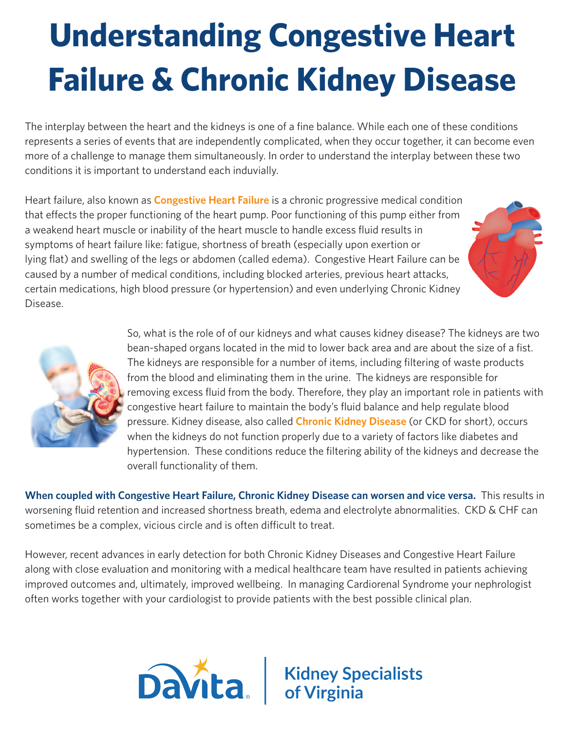## **Understanding Congestive Heart Failure & Chronic Kidney Disease**

The interplay between the heart and the kidneys is one of a fine balance. While each one of these conditions represents a series of events that are independently complicated, when they occur together, it can become even more of a challenge to manage them simultaneously. In order to understand the interplay between these two conditions it is important to understand each induvially.

Heart failure, also known as **Congestive Heart Failure** is a chronic progressive medical condition that effects the proper functioning of the heart pump. Poor functioning of this pump either from a weakend heart muscle or inability of the heart muscle to handle excess fluid results in symptoms of heart failure like: fatigue, shortness of breath (especially upon exertion or lying flat) and swelling of the legs or abdomen (called edema). Congestive Heart Failure can be caused by a number of medical conditions, including blocked arteries, previous heart attacks, certain medications, high blood pressure (or hypertension) and even underlying Chronic Kidney Disease.





So, what is the role of of our kidneys and what causes kidney disease? The kidneys are two bean-shaped organs located in the mid to lower back area and are about the size of a fist. The kidneys are responsible for a number of items, including filtering of waste products from the blood and eliminating them in the urine. The kidneys are responsible for removing excess fluid from the body. Therefore, they play an important role in patients with congestive heart failure to maintain the body's fluid balance and help regulate blood pressure. Kidney disease, also called **Chronic Kidney Disease** (or CKD for short), occurs when the kidneys do not function properly due to a variety of factors like diabetes and hypertension. These conditions reduce the filtering ability of the kidneys and decrease the overall functionality of them.

**When coupled with Congestive Heart Failure, Chronic Kidney Disease can worsen and vice versa.** This results in worsening fluid retention and increased shortness breath, edema and electrolyte abnormalities. CKD & CHF can sometimes be a complex, vicious circle and is often difficult to treat.

However, recent advances in early detection for both Chronic Kidney Diseases and Congestive Heart Failure along with close evaluation and monitoring with a medical healthcare team have resulted in patients achieving improved outcomes and, ultimately, improved wellbeing. In managing Cardiorenal Syndrome your nephrologist often works together with your cardiologist to provide patients with the best possible clinical plan.



**Davita** Kidney Specialists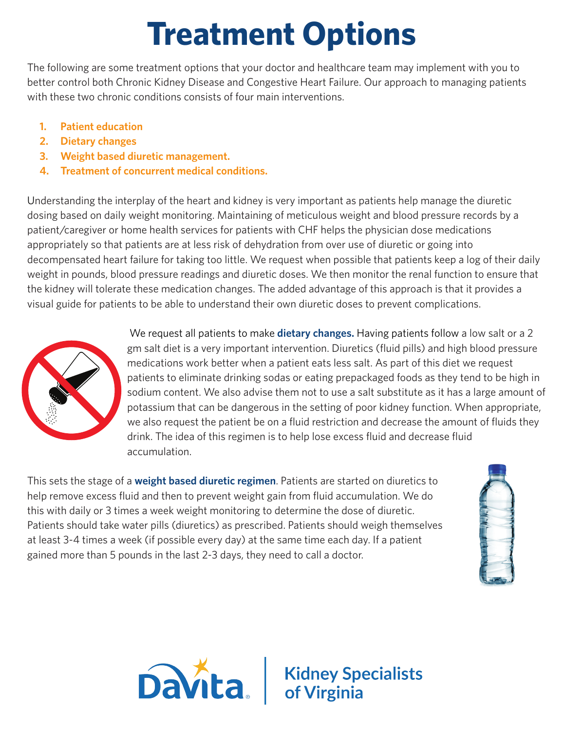### **Treatment Options**

The following are some treatment options that your doctor and healthcare team may implement with you to better control both Chronic Kidney Disease and Congestive Heart Failure. Our approach to managing patients with these two chronic conditions consists of four main interventions.

- **1. Patient education**
- **2. Dietary changes**
- **3. Weight based diuretic management.**
- **4. Treatment of concurrent medical conditions.**

Understanding the interplay of the heart and kidney is very important as patients help manage the diuretic dosing based on daily weight monitoring. Maintaining of meticulous weight and blood pressure records by a patient/caregiver or home health services for patients with CHF helps the physician dose medications appropriately so that patients are at less risk of dehydration from over use of diuretic or going into decompensated heart failure for taking too little. We request when possible that patients keep a log of their daily weight in pounds, blood pressure readings and diuretic doses. We then monitor the renal function to ensure that the kidney will tolerate these medication changes. The added advantage of this approach is that it provides a visual guide for patients to be able to understand their own diuretic doses to prevent complications.



We request all patients to make **dietary changes.** Having patients follow a low salt or a 2 gm salt diet is a very important intervention. Diuretics (fluid pills) and high blood pressure medications work better when a patient eats less salt. As part of this diet we request patients to eliminate drinking sodas or eating prepackaged foods as they tend to be high in sodium content. We also advise them not to use a salt substitute as it has a large amount of potassium that can be dangerous in the setting of poor kidney function. When appropriate, we also request the patient be on a fluid restriction and decrease the amount of fluids they drink. The idea of this regimen is to help lose excess fluid and decrease fluid accumulation.

This sets the stage of a **weight based diuretic regimen**. Patients are started on diuretics to help remove excess fluid and then to prevent weight gain from fluid accumulation. We do this with daily or 3 times a week weight monitoring to determine the dose of diuretic. Patients should take water pills (diuretics) as prescribed. Patients should weigh themselves at least 3-4 times a week (if possible every day) at the same time each day. If a patient gained more than 5 pounds in the last 2-3 days, they need to call a doctor.





# **Davita** Kidney Specialists